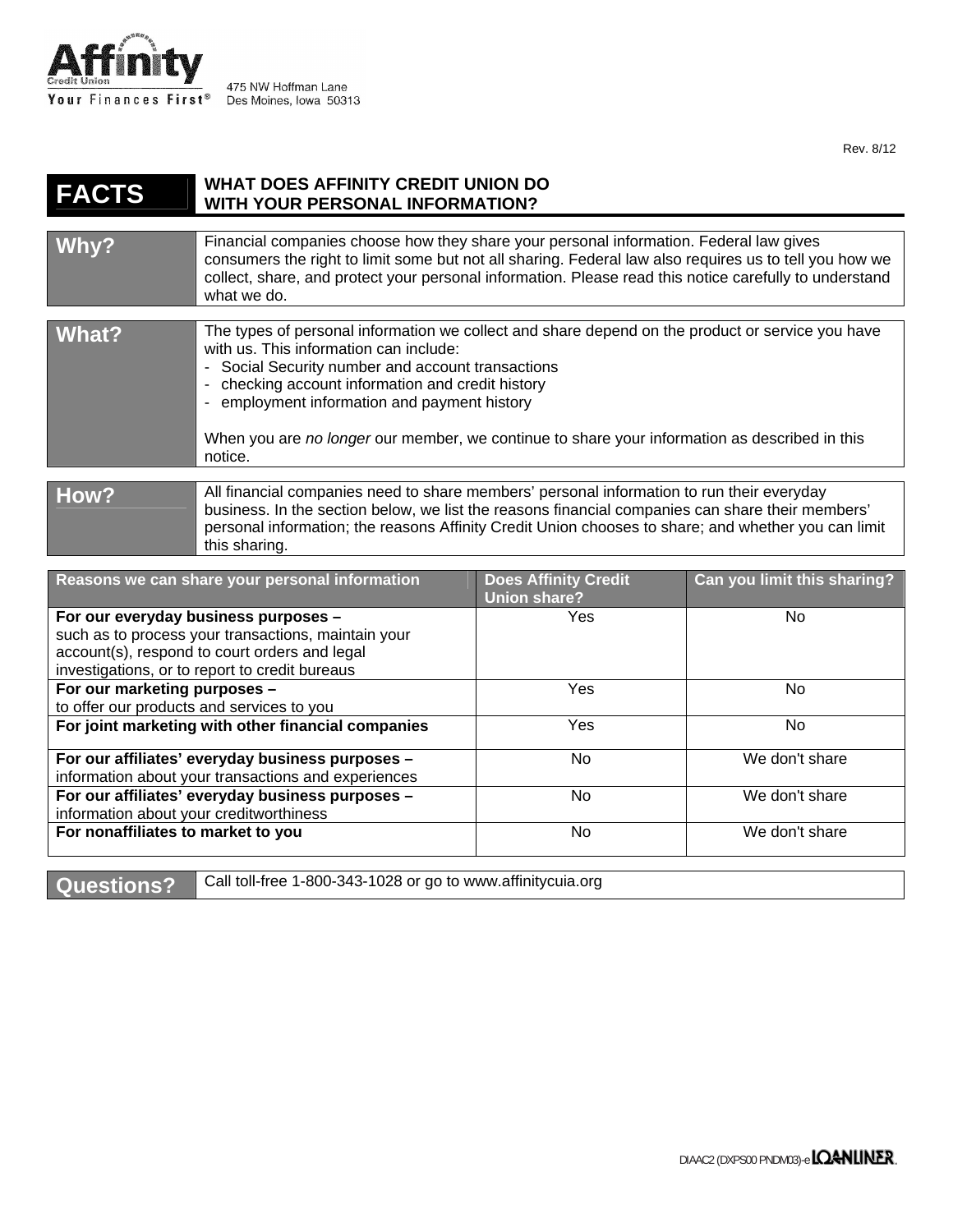

475 NW Hoffman Lane Des Moines, Iowa 50313

Rev. 8/12

## **FACTS WHAT DOES AFFINITY CREDIT UNION DO WITH YOUR PERSONAL INFORMATION?**  Why? **Financial companies choose how they share your personal information. Federal law gives** consumers the right to limit some but not all sharing. Federal law also requires us to tell you how we collect, share, and protect your personal information. Please read this notice carefully to understand what we do. **What?** The types of personal information we collect and share depend on the product or service you have with us. This information can include: - Social Security number and account transactions - checking account information and credit history - employment information and payment history When you are *no longer* our member, we continue to share your information as described in this notice. How? **All financial companies need to share members' personal information to run their everyday** business. In the section below, we list the reasons financial companies can share their members' personal information; the reasons Affinity Credit Union chooses to share; and whether you can limit this sharing. Reasons we can share your personal information **Does Affinity Credit Union share? Can you limit this sharing? For our everyday business purposes –**  such as to process your transactions, maintain your Yes No

| For our everyday business purposes -                | Yes | No             |
|-----------------------------------------------------|-----|----------------|
| such as to process your transactions, maintain your |     |                |
| account(s), respond to court orders and legal       |     |                |
| investigations, or to report to credit bureaus      |     |                |
| For our marketing purposes -                        | Yes | No.            |
| to offer our products and services to you           |     |                |
| For joint marketing with other financial companies  | Yes | No.            |
|                                                     |     |                |
| For our affiliates' everyday business purposes -    | No  | We don't share |
| information about your transactions and experiences |     |                |
| For our affiliates' everyday business purposes -    | No  | We don't share |
| information about your creditworthiness             |     |                |
| For nonaffiliates to market to you                  | No  | We don't share |
|                                                     |     |                |
|                                                     |     |                |

**Questions?** | Call toll-free 1-800-343-1028 or go to www.affinitycuia.org